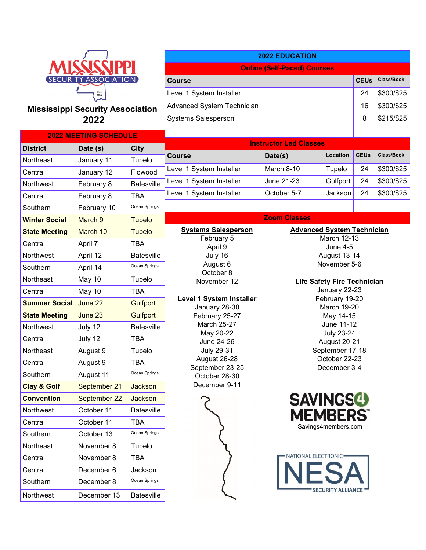

### **Mississippi Security Association 2022**

| <b>2022 MEETING SCHEDULE</b> |                    |                   |  |  |  |
|------------------------------|--------------------|-------------------|--|--|--|
| <b>District</b>              | Date (s)           | <b>City</b>       |  |  |  |
| Northeast                    | January 11         | Tupelo            |  |  |  |
| Central                      | January 12         | Flowood           |  |  |  |
| Northwest                    | February 8         | <b>Batesville</b> |  |  |  |
| Central                      | February 8         | <b>TBA</b>        |  |  |  |
| Southern                     | February 10        | Ocean Springs     |  |  |  |
| <b>Winter Social</b>         | March <sub>9</sub> | <b>Tupelo</b>     |  |  |  |
| <b>State Meeting</b>         | March 10           | <b>Tupelo</b>     |  |  |  |
| Central                      | April 7            | <b>TBA</b>        |  |  |  |
| Northwest                    | April 12           | <b>Batesville</b> |  |  |  |
| Southern                     | April 14           | Ocean Springs     |  |  |  |
| Northeast                    | May 10             | Tupelo            |  |  |  |
| Central                      | May 10             | <b>TBA</b>        |  |  |  |
| <b>Summer Social</b>         | June 22            | <b>Gulfport</b>   |  |  |  |
| <b>State Meeting</b>         | June 23            | <b>Gulfport</b>   |  |  |  |
| Northwest                    | July 12            | <b>Batesville</b> |  |  |  |
| Central                      | July 12            | <b>TBA</b>        |  |  |  |
| Northeast                    | August 9           | Tupelo            |  |  |  |
| Central                      | August 9           | <b>TBA</b>        |  |  |  |
| Southern                     | August 11          | Ocean Springs     |  |  |  |
| <b>Clay &amp; Golf</b>       | September 21       | <b>Jackson</b>    |  |  |  |
| <b>Convention</b>            | September 22       | <b>Jackson</b>    |  |  |  |
| Northwest                    | October 11         | <b>Batesville</b> |  |  |  |
| Central                      | October 11         | <b>TBA</b>        |  |  |  |
| Southern                     | October 13         | Ocean Springs     |  |  |  |
| Northeast                    | November 8         | Tupelo            |  |  |  |
| Central                      | November 8         | <b>TBA</b>        |  |  |  |
| Central                      | December 6         | Jackson           |  |  |  |
| Southern                     | December 8         | Ocean Springs     |  |  |  |
| Northwest                    | December 13        | <b>Batesville</b> |  |  |  |

| <b>2022 EDUCATION</b>                                                                                                                                                                                                                                                                                                   |                                                                                                                                                                                                                                                                                                                               |                                                 |             |            |  |  |
|-------------------------------------------------------------------------------------------------------------------------------------------------------------------------------------------------------------------------------------------------------------------------------------------------------------------------|-------------------------------------------------------------------------------------------------------------------------------------------------------------------------------------------------------------------------------------------------------------------------------------------------------------------------------|-------------------------------------------------|-------------|------------|--|--|
|                                                                                                                                                                                                                                                                                                                         | <b>Online (Self-Paced) Courses</b>                                                                                                                                                                                                                                                                                            |                                                 |             |            |  |  |
| <b>Course</b>                                                                                                                                                                                                                                                                                                           |                                                                                                                                                                                                                                                                                                                               |                                                 | <b>CEUs</b> | Class/Book |  |  |
| Level 1 System Installer                                                                                                                                                                                                                                                                                                |                                                                                                                                                                                                                                                                                                                               |                                                 | 24          | \$300/\$25 |  |  |
| Advanced System Technician                                                                                                                                                                                                                                                                                              |                                                                                                                                                                                                                                                                                                                               |                                                 | 16          | \$300/\$25 |  |  |
| <b>Systems Salesperson</b>                                                                                                                                                                                                                                                                                              |                                                                                                                                                                                                                                                                                                                               |                                                 | 8           | \$215/\$25 |  |  |
|                                                                                                                                                                                                                                                                                                                         |                                                                                                                                                                                                                                                                                                                               |                                                 |             |            |  |  |
|                                                                                                                                                                                                                                                                                                                         | <b>Instructor Led Classes</b>                                                                                                                                                                                                                                                                                                 |                                                 |             |            |  |  |
| <b>Course</b>                                                                                                                                                                                                                                                                                                           | Date(s)                                                                                                                                                                                                                                                                                                                       | Location                                        | <b>CEUs</b> | Class/Book |  |  |
| Level 1 System Installer                                                                                                                                                                                                                                                                                                | March 8-10                                                                                                                                                                                                                                                                                                                    | Tupelo                                          | 24          | \$300/\$25 |  |  |
| Level 1 System Installer                                                                                                                                                                                                                                                                                                | June 21-23                                                                                                                                                                                                                                                                                                                    | Gulfport                                        | 24          | \$300/\$25 |  |  |
| Level 1 System Installer                                                                                                                                                                                                                                                                                                | October 5-7                                                                                                                                                                                                                                                                                                                   | Jackson                                         | 24          | \$300/\$25 |  |  |
|                                                                                                                                                                                                                                                                                                                         |                                                                                                                                                                                                                                                                                                                               |                                                 |             |            |  |  |
|                                                                                                                                                                                                                                                                                                                         | <b>Zoom Classes</b>                                                                                                                                                                                                                                                                                                           |                                                 |             |            |  |  |
| <b>Systems Salesperson</b><br>February 5<br>April 9<br>July 16<br>August 6<br>October 8<br>November 12<br><b>Level 1 System Installer</b><br>January 28-30<br>February 25-27<br><b>March 25-27</b><br>May 20-22<br>June 24-26<br><b>July 29-31</b><br>August 26-28<br>September 23-25<br>October 28-30<br>December 9-11 | <b>Advanced System Technician</b><br><b>March 12-13</b><br><b>June 4-5</b><br>August 13-14<br>November 5-6<br><b>Life Safety Fire Technician</b><br>January 22-23<br>February 19-20<br><b>March 19-20</b><br>May 14-15<br>June 11-12<br><b>July 23-24</b><br>August 20-21<br>September 17-18<br>October 22-23<br>December 3-4 |                                                 |             |            |  |  |
|                                                                                                                                                                                                                                                                                                                         | <b>SAVINGSG</b><br><b>MEMBERS</b><br>NATIONAL ELECTRONIC=                                                                                                                                                                                                                                                                     | Savings4members.com<br><b>SECURITY ALLIANCE</b> |             |            |  |  |